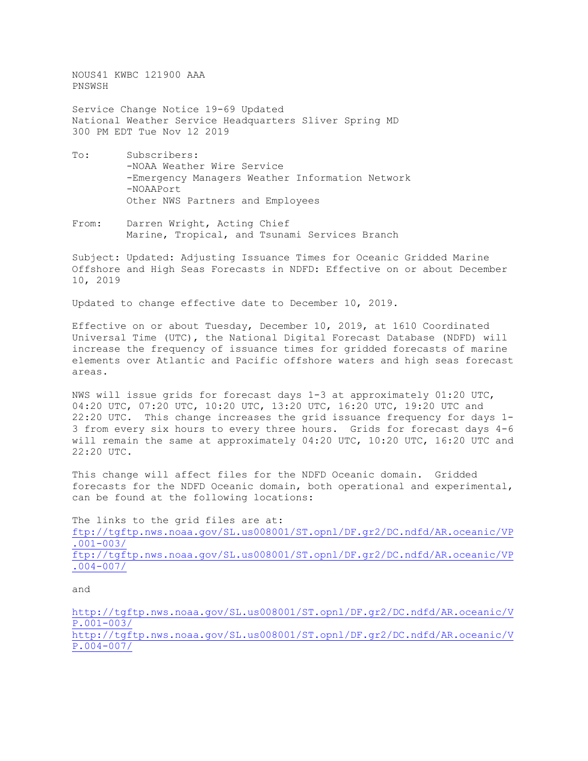NOUS41 KWBC 121900 AAA PNSWSH

Service Change Notice 19-69 Updated National Weather Service Headquarters Sliver Spring MD 300 PM EDT Tue Nov 12 2019

- To: Subscribers: -NOAA Weather Wire Service -Emergency Managers Weather Information Network -NOAAPort Other NWS Partners and Employees
- From: Darren Wright, Acting Chief Marine, Tropical, and Tsunami Services Branch

Subject: Updated: Adjusting Issuance Times for Oceanic Gridded Marine Offshore and High Seas Forecasts in NDFD: Effective on or about December 10, 2019

Updated to change effective date to December 10, 2019.

Effective on or about Tuesday, December 10, 2019, at 1610 Coordinated Universal Time (UTC), the National Digital Forecast Database (NDFD) will increase the frequency of issuance times for gridded forecasts of marine elements over Atlantic and Pacific offshore waters and high seas forecast areas.

NWS will issue grids for forecast days 1-3 at approximately 01:20 UTC, 04:20 UTC, 07:20 UTC, 10:20 UTC, 13:20 UTC, 16:20 UTC, 19:20 UTC and 22:20 UTC. This change increases the grid issuance frequency for days 1- 3 from every six hours to every three hours. Grids for forecast days 4-6 will remain the same at approximately 04:20 UTC, 10:20 UTC, 16:20 UTC and 22:20 UTC.

This change will affect files for the NDFD Oceanic domain. Gridded forecasts for the NDFD Oceanic domain, both operational and experimental, can be found at the following locations:

The links to the grid files are at: [ftp://tgftp.nws.noaa.gov/SL.us008001/ST.opnl/DF.gr2/DC.ndfd/AR.oceanic/VP](ftp://tgftp.nws.noaa.gov/SL.us008001/ST.opnl/DF.gr2/DC.ndfd/AR.oceanic/VP.001-003/) [.001-003/](ftp://tgftp.nws.noaa.gov/SL.us008001/ST.opnl/DF.gr2/DC.ndfd/AR.oceanic/VP.001-003/) [ftp://tgftp.nws.noaa.gov/SL.us008001/ST.opnl/DF.gr2/DC.ndfd/AR.oceanic/VP](ftp://tgftp.nws.noaa.gov/SL.us008001/ST.opnl/DF.gr2/DC.ndfd/AR.oceanic/VP.004-007/) [.004-007/](ftp://tgftp.nws.noaa.gov/SL.us008001/ST.opnl/DF.gr2/DC.ndfd/AR.oceanic/VP.004-007/)

and

[http://tgftp.nws.noaa.gov/SL.us008001/ST.opnl/DF.gr2/DC.ndfd/AR.oceanic/V](http://tgftp.nws.noaa.gov/SL.us008001/ST.opnl/DF.gr2/DC.ndfd/AR.oceanic/VP.001-003/) [P.001-003/](http://tgftp.nws.noaa.gov/SL.us008001/ST.opnl/DF.gr2/DC.ndfd/AR.oceanic/VP.001-003/) [http://tgftp.nws.noaa.gov/SL.us008001/ST.opnl/DF.gr2/DC.ndfd/AR.oceanic/V](http://tgftp.nws.noaa.gov/SL.us008001/ST.opnl/DF.gr2/DC.ndfd/AR.oceanic/VP.004-007/)

[P.004-007/](http://tgftp.nws.noaa.gov/SL.us008001/ST.opnl/DF.gr2/DC.ndfd/AR.oceanic/VP.004-007/)